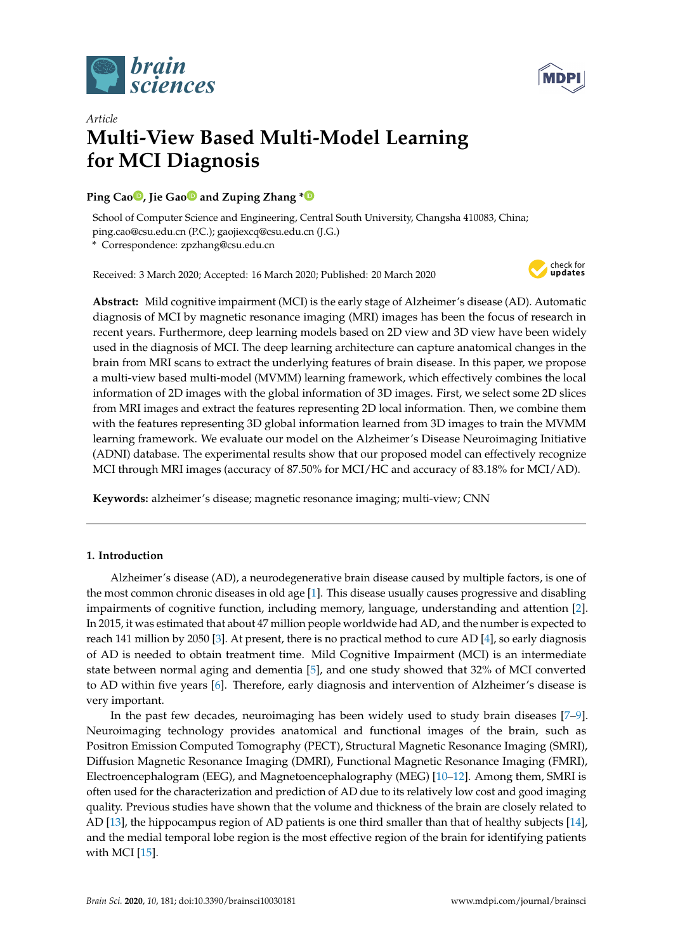



# *Article* **Multi-View Based Multi-Model Learning for MCI Diagnosis**

# **Ping Cao [,](https://orcid.org/0000-0002-5306-7335) Jie Ga[o](https://orcid.org/0000-0002-6970-727X) and Zuping Zhang [\\*](https://orcid.org/0000-0002-2528-7808)**

School of Computer Science and Engineering, Central South University, Changsha 410083, China; ping.cao@csu.edu.cn (P.C.); gaojiexcq@csu.edu.cn (J.G.)

**\*** Correspondence: zpzhang@csu.edu.cn

Received: 3 March 2020; Accepted: 16 March 2020; Published: 20 March 2020



**Abstract:** Mild cognitive impairment (MCI) is the early stage of Alzheimer's disease (AD). Automatic diagnosis of MCI by magnetic resonance imaging (MRI) images has been the focus of research in recent years. Furthermore, deep learning models based on 2D view and 3D view have been widely used in the diagnosis of MCI. The deep learning architecture can capture anatomical changes in the brain from MRI scans to extract the underlying features of brain disease. In this paper, we propose a multi-view based multi-model (MVMM) learning framework, which effectively combines the local information of 2D images with the global information of 3D images. First, we select some 2D slices from MRI images and extract the features representing 2D local information. Then, we combine them with the features representing 3D global information learned from 3D images to train the MVMM learning framework. We evaluate our model on the Alzheimer's Disease Neuroimaging Initiative (ADNI) database. The experimental results show that our proposed model can effectively recognize MCI through MRI images (accuracy of 87.50% for MCI/HC and accuracy of 83.18% for MCI/AD).

**Keywords:** alzheimer's disease; magnetic resonance imaging; multi-view; CNN

# **1. Introduction**

Alzheimer's disease (AD), a neurodegenerative brain disease caused by multiple factors, is one of the most common chronic diseases in old age [\[1\]](#page-11-0). This disease usually causes progressive and disabling impairments of cognitive function, including memory, language, understanding and attention [\[2\]](#page-11-1). In 2015, it was estimated that about 47 million people worldwide had AD, and the number is expected to reach 141 million by 2050 [\[3\]](#page-11-2). At present, there is no practical method to cure AD [\[4\]](#page-11-3), so early diagnosis of AD is needed to obtain treatment time. Mild Cognitive Impairment (MCI) is an intermediate state between normal aging and dementia [\[5\]](#page-11-4), and one study showed that 32% of MCI converted to AD within five years [\[6\]](#page-12-0). Therefore, early diagnosis and intervention of Alzheimer's disease is very important.

In the past few decades, neuroimaging has been widely used to study brain diseases [\[7](#page-12-1)[–9\]](#page-12-2). Neuroimaging technology provides anatomical and functional images of the brain, such as Positron Emission Computed Tomography (PECT), Structural Magnetic Resonance Imaging (SMRI), Diffusion Magnetic Resonance Imaging (DMRI), Functional Magnetic Resonance Imaging (FMRI), Electroencephalogram (EEG), and Magnetoencephalography (MEG) [\[10–](#page-12-3)[12\]](#page-12-4). Among them, SMRI is often used for the characterization and prediction of AD due to its relatively low cost and good imaging quality. Previous studies have shown that the volume and thickness of the brain are closely related to AD [\[13\]](#page-12-5), the hippocampus region of AD patients is one third smaller than that of healthy subjects [\[14\]](#page-12-6), and the medial temporal lobe region is the most effective region of the brain for identifying patients with MCI [\[15\]](#page-12-7).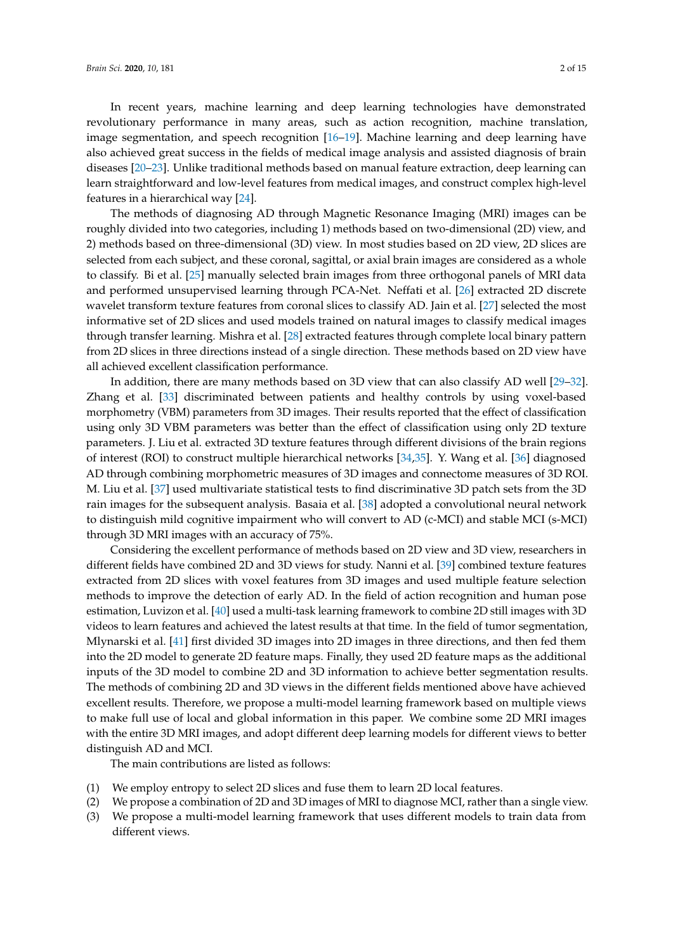In recent years, machine learning and deep learning technologies have demonstrated revolutionary performance in many areas, such as action recognition, machine translation, image segmentation, and speech recognition [\[16–](#page-12-8)[19\]](#page-12-9). Machine learning and deep learning have also achieved great success in the fields of medical image analysis and assisted diagnosis of brain diseases [\[20](#page-12-10)[–23\]](#page-12-11). Unlike traditional methods based on manual feature extraction, deep learning can learn straightforward and low-level features from medical images, and construct complex high-level features in a hierarchical way [\[24\]](#page-12-12).

The methods of diagnosing AD through Magnetic Resonance Imaging (MRI) images can be roughly divided into two categories, including 1) methods based on two-dimensional (2D) view, and 2) methods based on three-dimensional (3D) view. In most studies based on 2D view, 2D slices are selected from each subject, and these coronal, sagittal, or axial brain images are considered as a whole to classify. Bi et al. [\[25\]](#page-12-13) manually selected brain images from three orthogonal panels of MRI data and performed unsupervised learning through PCA-Net. Neffati et al. [\[26\]](#page-12-14) extracted 2D discrete wavelet transform texture features from coronal slices to classify AD. Jain et al. [\[27\]](#page-13-0) selected the most informative set of 2D slices and used models trained on natural images to classify medical images through transfer learning. Mishra et al. [\[28\]](#page-13-1) extracted features through complete local binary pattern from 2D slices in three directions instead of a single direction. These methods based on 2D view have all achieved excellent classification performance.

In addition, there are many methods based on 3D view that can also classify AD well [\[29–](#page-13-2)[32\]](#page-13-3). Zhang et al. [\[33\]](#page-13-4) discriminated between patients and healthy controls by using voxel-based morphometry (VBM) parameters from 3D images. Their results reported that the effect of classification using only 3D VBM parameters was better than the effect of classification using only 2D texture parameters. J. Liu et al. extracted 3D texture features through different divisions of the brain regions of interest (ROI) to construct multiple hierarchical networks [\[34](#page-13-5)[,35\]](#page-13-6). Y. Wang et al. [\[36\]](#page-13-7) diagnosed AD through combining morphometric measures of 3D images and connectome measures of 3D ROI. M. Liu et al. [\[37\]](#page-13-8) used multivariate statistical tests to find discriminative 3D patch sets from the 3D rain images for the subsequent analysis. Basaia et al. [\[38\]](#page-13-9) adopted a convolutional neural network to distinguish mild cognitive impairment who will convert to AD (c-MCI) and stable MCI (s-MCI) through 3D MRI images with an accuracy of 75%.

Considering the excellent performance of methods based on 2D view and 3D view, researchers in different fields have combined 2D and 3D views for study. Nanni et al. [\[39\]](#page-13-10) combined texture features extracted from 2D slices with voxel features from 3D images and used multiple feature selection methods to improve the detection of early AD. In the field of action recognition and human pose estimation, Luvizon et al. [\[40\]](#page-13-11) used a multi-task learning framework to combine 2D still images with 3D videos to learn features and achieved the latest results at that time. In the field of tumor segmentation, Mlynarski et al. [\[41\]](#page-13-12) first divided 3D images into 2D images in three directions, and then fed them into the 2D model to generate 2D feature maps. Finally, they used 2D feature maps as the additional inputs of the 3D model to combine 2D and 3D information to achieve better segmentation results. The methods of combining 2D and 3D views in the different fields mentioned above have achieved excellent results. Therefore, we propose a multi-model learning framework based on multiple views to make full use of local and global information in this paper. We combine some 2D MRI images with the entire 3D MRI images, and adopt different deep learning models for different views to better distinguish AD and MCI.

The main contributions are listed as follows:

- (1) We employ entropy to select 2D slices and fuse them to learn 2D local features.
- (2) We propose a combination of 2D and 3D images of MRI to diagnose MCI, rather than a single view.
- (3) We propose a multi-model learning framework that uses different models to train data from different views.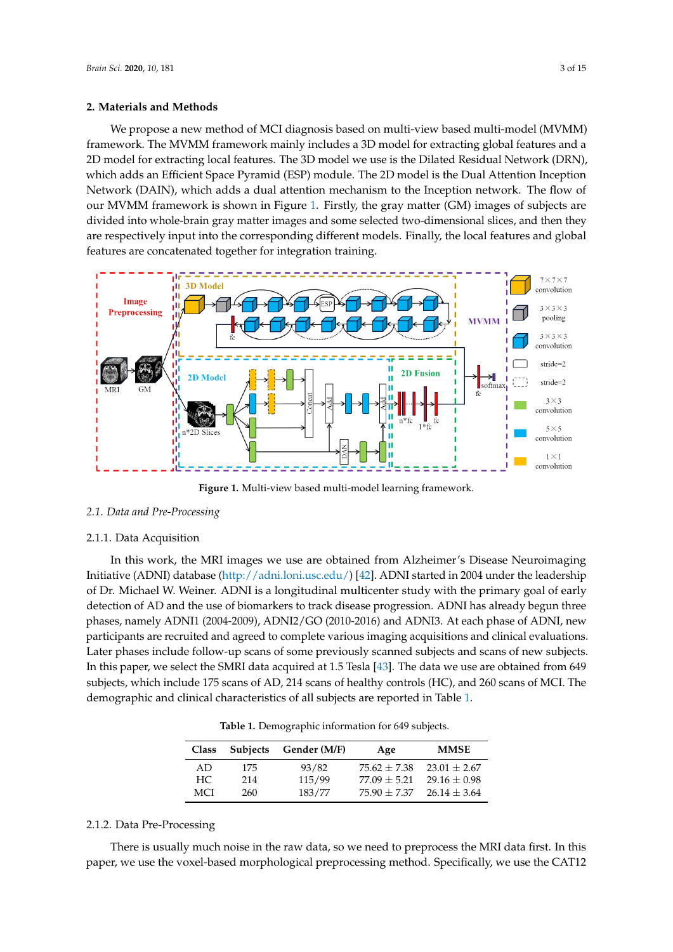#### **2. Materials and Methods**

We propose a new method of MCI diagnosis based on multi-view based multi-model (MVMM) framework. The MVMM framework mainly includes a 3D model for extracting global features and a 2D model for extracting local features. The 3D model we use is the Dilated Residual Network (DRN), which adds an Efficient Space Pyramid (ESP) module. The 2D model is the Dual Attention Inception Network (DAIN), which adds a dual attention mechanism to the Inception network. The flow of our MVMM framework is shown in Figure [1.](#page-2-0) Firstly, the gray matter (GM) images of subjects are divided into whole-brain gray matter images and some selected two-dimensional slices, and then they are respectively input into the corresponding different models. Finally, the local features and global features are concatenated together for integration training.

<span id="page-2-0"></span>

**Figure 1.** Multi-view based multi-model learning framework.

## *2.1. Data and Pre-Processing*

#### 2.1.1. Data Acquisition

In this work, the MRI images we use are obtained from Alzheimer's Disease Neuroimaging Initiative (ADNI) database [\(http://adni.loni.usc.edu/\)](http://adni.loni.usc.edu/) [\[42\]](#page-13-13). ADNI started in 2004 under the leadership of Dr. Michael W. Weiner. ADNI is a longitudinal multicenter study with the primary goal of early detection of AD and the use of biomarkers to track disease progression. ADNI has already begun three phases, namely ADNI1 (2004-2009), ADNI2/GO (2010-2016) and ADNI3. At each phase of ADNI, new participants are recruited and agreed to complete various imaging acquisitions and clinical evaluations. Later phases include follow-up scans of some previously scanned subjects and scans of new subjects. In this paper, we select the SMRI data acquired at 1.5 Tesla [\[43\]](#page-13-14). The data we use are obtained from 649 subjects, which include 175 scans of AD, 214 scans of healthy controls (HC), and 260 scans of MCI. The demographic and clinical characteristics of all subjects are reported in Table [1.](#page-2-1)

**Table 1.** Demographic information for 649 subjects.

<span id="page-2-1"></span>

| <b>Class</b> | <b>Subjects</b> | Gender (M/F) | Age            | <b>MMSE</b>    |
|--------------|-----------------|--------------|----------------|----------------|
| AD.          | 175             | 93/82        | $75.62 + 7.38$ | $23.01 + 2.67$ |
| HC           | 214             | 115/99       | $77.09 + 5.21$ | $29.16 + 0.98$ |
| MCI          | 260.            | 183/77       | $75.90 + 7.37$ | $26.14 + 3.64$ |

## 2.1.2. Data Pre-Processing

There is usually much noise in the raw data, so we need to preprocess the MRI data first. In this paper, we use the voxel-based morphological preprocessing method. Specifically, we use the CAT12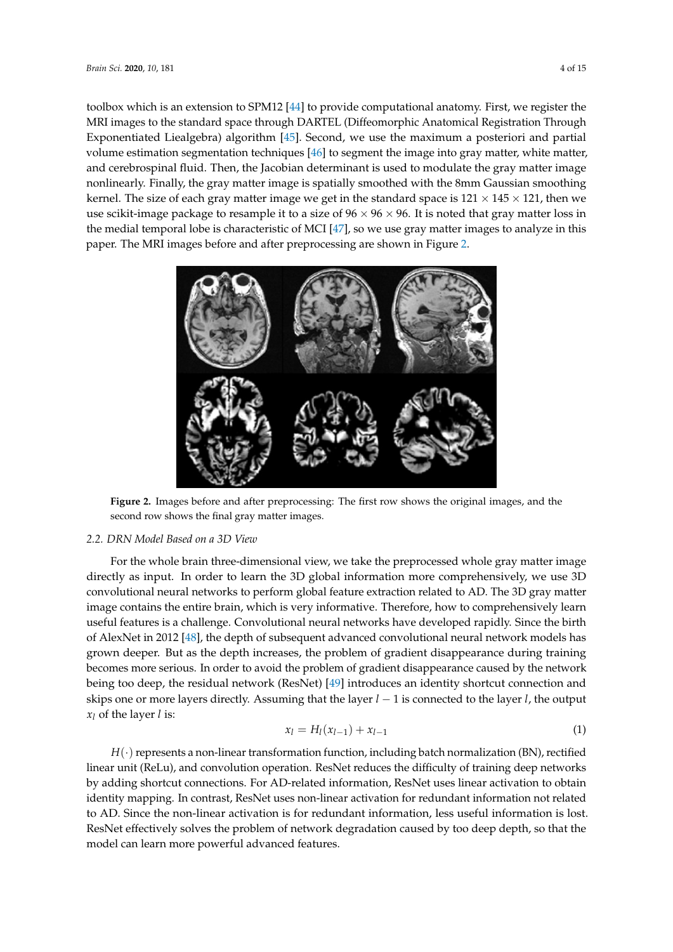toolbox which is an extension to SPM12 [\[44\]](#page-13-15) to provide computational anatomy. First, we register the MRI images to the standard space through DARTEL (Diffeomorphic Anatomical Registration Through Exponentiated Liealgebra) algorithm [\[45\]](#page-13-16). Second, we use the maximum a posteriori and partial volume estimation segmentation techniques [\[46\]](#page-13-17) to segment the image into gray matter, white matter, and cerebrospinal fluid. Then, the Jacobian determinant is used to modulate the gray matter image nonlinearly. Finally, the gray matter image is spatially smoothed with the 8mm Gaussian smoothing kernel. The size of each gray matter image we get in the standard space is  $121 \times 145 \times 121$ , then we use scikit-image package to resample it to a size of  $96 \times 96 \times 96$ . It is noted that gray matter loss in the medial temporal lobe is characteristic of MCI [\[47\]](#page-13-18), so we use gray matter images to analyze in this paper. The MRI images before and after preprocessing are shown in Figure [2.](#page-3-0)

<span id="page-3-0"></span>

**Figure 2.** Images before and after preprocessing: The first row shows the original images, and the second row shows the final gray matter images.

### *2.2. DRN Model Based on a 3D View*

For the whole brain three-dimensional view, we take the preprocessed whole gray matter image directly as input. In order to learn the 3D global information more comprehensively, we use 3D convolutional neural networks to perform global feature extraction related to AD. The 3D gray matter image contains the entire brain, which is very informative. Therefore, how to comprehensively learn useful features is a challenge. Convolutional neural networks have developed rapidly. Since the birth of AlexNet in 2012 [\[48\]](#page-13-19), the depth of subsequent advanced convolutional neural network models has grown deeper. But as the depth increases, the problem of gradient disappearance during training becomes more serious. In order to avoid the problem of gradient disappearance caused by the network being too deep, the residual network (ResNet) [\[49\]](#page-14-0) introduces an identity shortcut connection and skips one or more layers directly. Assuming that the layer *l* − 1 is connected to the layer *l*, the output *x<sup>l</sup>* of the layer *l* is:

$$
x_l = H_l(x_{l-1}) + x_{l-1} \tag{1}
$$

*H*( $\cdot$ ) represents a non-linear transformation function, including batch normalization (BN), rectified linear unit (ReLu), and convolution operation. ResNet reduces the difficulty of training deep networks by adding shortcut connections. For AD-related information, ResNet uses linear activation to obtain identity mapping. In contrast, ResNet uses non-linear activation for redundant information not related to AD. Since the non-linear activation is for redundant information, less useful information is lost. ResNet effectively solves the problem of network degradation caused by too deep depth, so that the model can learn more powerful advanced features.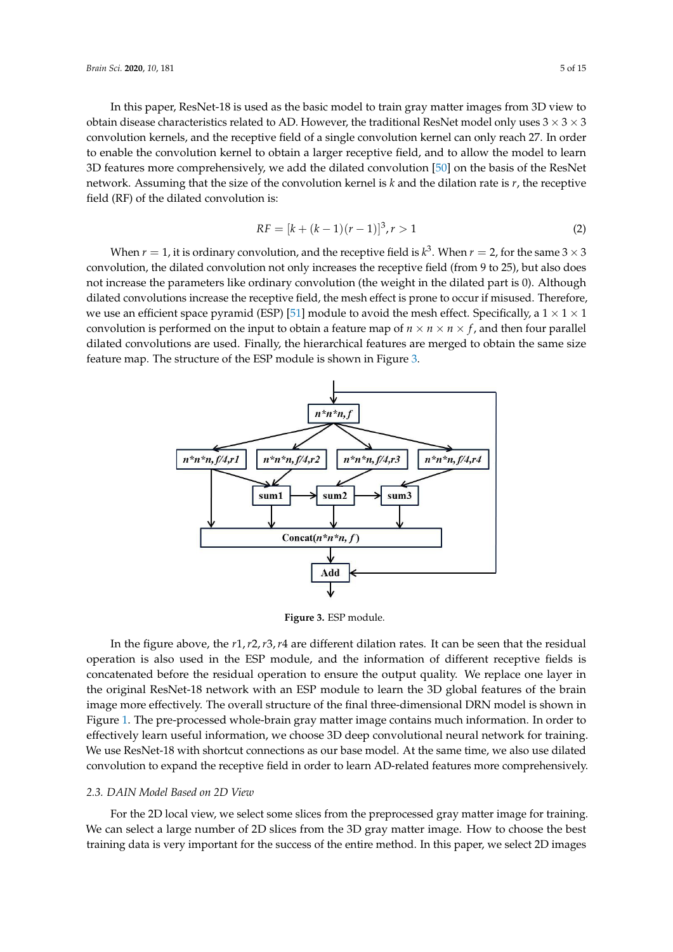In this paper, ResNet-18 is used as the basic model to train gray matter images from 3D view to obtain disease characteristics related to AD. However, the traditional ResNet model only uses  $3 \times 3 \times 3$ convolution kernels, and the receptive field of a single convolution kernel can only reach 27. In order to enable the convolution kernel to obtain a larger receptive field, and to allow the model to learn 3D features more comprehensively, we add the dilated convolution [\[50\]](#page-14-1) on the basis of the ResNet network. Assuming that the size of the convolution kernel is *k* and the dilation rate is *r*, the receptive field (RF) of the dilated convolution is:

$$
RF = [k + (k-1)(r-1)]^3, r > 1
$$
\n(2)

When  $r=1$ , it is ordinary convolution, and the receptive field is  $k^3$ . When  $r=2$ , for the same 3  $\times$  3 convolution, the dilated convolution not only increases the receptive field (from 9 to 25), but also does not increase the parameters like ordinary convolution (the weight in the dilated part is 0). Although dilated convolutions increase the receptive field, the mesh effect is prone to occur if misused. Therefore, we use an efficient space pyramid (ESP) [\[51\]](#page-14-2) module to avoid the mesh effect. Specifically, a  $1 \times 1 \times 1$ convolution is performed on the input to obtain a feature map of  $n \times n \times n \times f$ , and then four parallel dilated convolutions are used. Finally, the hierarchical features are merged to obtain the same size feature map. The structure of the ESP module is shown in Figure [3.](#page-4-0)

<span id="page-4-0"></span>

**Figure 3.** ESP module.

In the figure above, the *r*1,*r*2,*r*3,*r*4 are different dilation rates. It can be seen that the residual operation is also used in the ESP module, and the information of different receptive fields is concatenated before the residual operation to ensure the output quality. We replace one layer in the original ResNet-18 network with an ESP module to learn the 3D global features of the brain image more effectively. The overall structure of the final three-dimensional DRN model is shown in Figure [1.](#page-2-0) The pre-processed whole-brain gray matter image contains much information. In order to effectively learn useful information, we choose 3D deep convolutional neural network for training. We use ResNet-18 with shortcut connections as our base model. At the same time, we also use dilated convolution to expand the receptive field in order to learn AD-related features more comprehensively.

#### *2.3. DAIN Model Based on 2D View*

For the 2D local view, we select some slices from the preprocessed gray matter image for training. We can select a large number of 2D slices from the 3D gray matter image. How to choose the best training data is very important for the success of the entire method. In this paper, we select 2D images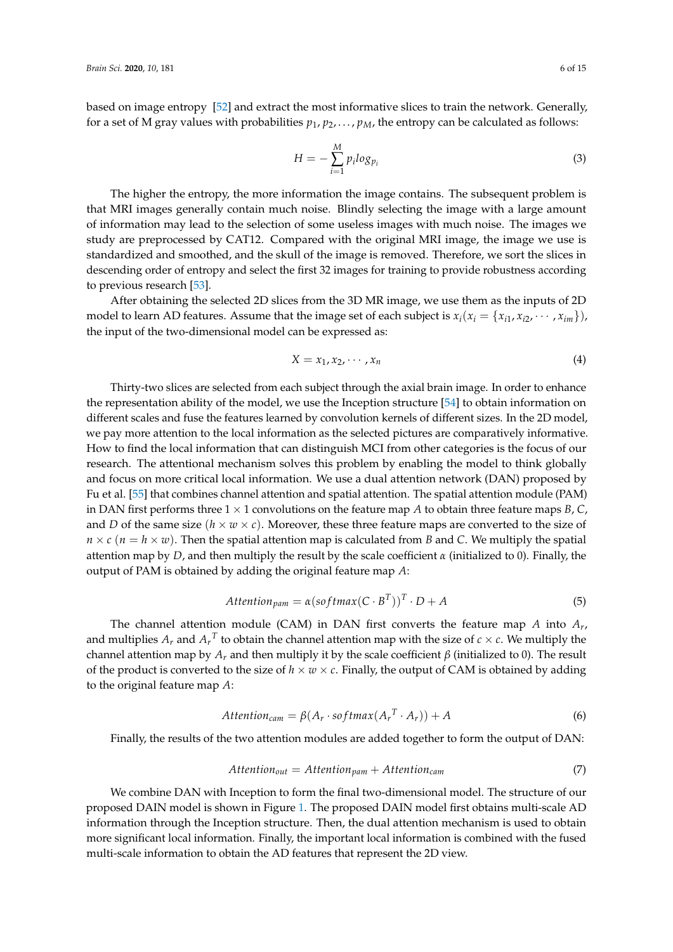based on image entropy [\[52\]](#page-14-3) and extract the most informative slices to train the network. Generally, for a set of M gray values with probabilities  $p_1, p_2, \ldots, p_M$ , the entropy can be calculated as follows:

$$
H = -\sum_{i=1}^{M} p_i \log_{p_i} \tag{3}
$$

The higher the entropy, the more information the image contains. The subsequent problem is that MRI images generally contain much noise. Blindly selecting the image with a large amount of information may lead to the selection of some useless images with much noise. The images we study are preprocessed by CAT12. Compared with the original MRI image, the image we use is standardized and smoothed, and the skull of the image is removed. Therefore, we sort the slices in descending order of entropy and select the first 32 images for training to provide robustness according to previous research [\[53\]](#page-14-4).

After obtaining the selected 2D slices from the 3D MR image, we use them as the inputs of 2D model to learn AD features. Assume that the image set of each subject is  $x_i(x_i = \{x_{i1}, x_{i2}, \dots, x_{im}\})$ , the input of the two-dimensional model can be expressed as:

$$
X = x_1, x_2, \cdots, x_n \tag{4}
$$

Thirty-two slices are selected from each subject through the axial brain image. In order to enhance the representation ability of the model, we use the Inception structure [\[54\]](#page-14-5) to obtain information on different scales and fuse the features learned by convolution kernels of different sizes. In the 2D model, we pay more attention to the local information as the selected pictures are comparatively informative. How to find the local information that can distinguish MCI from other categories is the focus of our research. The attentional mechanism solves this problem by enabling the model to think globally and focus on more critical local information. We use a dual attention network (DAN) proposed by Fu et al. [\[55\]](#page-14-6) that combines channel attention and spatial attention. The spatial attention module (PAM) in DAN first performs three  $1 \times 1$  convolutions on the feature map *A* to obtain three feature maps *B*, *C*, and *D* of the same size  $(h \times w \times c)$ . Moreover, these three feature maps are converted to the size of  $n \times c$  ( $n = h \times w$ ). Then the spatial attention map is calculated from *B* and *C*. We multiply the spatial attention map by *D*, and then multiply the result by the scale coefficient  $\alpha$  (initialized to 0). Finally, the output of PAM is obtained by adding the original feature map *A*:

$$
Attention_{pam} = \alpha (softmax(C \cdot B^T))^T \cdot D + A
$$
 (5)

The channel attention module (CAM) in DAN first converts the feature map *A* into *A<sup>r</sup>* , and multiplies  $A_r$  and  $A_r^T$  to obtain the channel attention map with the size of  $c \times c$ . We multiply the channel attention map by  $A<sub>r</sub>$  and then multiply it by the scale coefficient  $β$  (initialized to 0). The result of the product is converted to the size of  $h \times w \times c$ . Finally, the output of CAM is obtained by adding to the original feature map *A*:

$$
Attention_{cam} = \beta(A_r \cdot softmax(A_r^T \cdot A_r)) + A
$$
 (6)

Finally, the results of the two attention modules are added together to form the output of DAN:

$$
Attention_{out} =Attention_{pam} +Attention_{cam}
$$
 (7)

We combine DAN with Inception to form the final two-dimensional model. The structure of our proposed DAIN model is shown in Figure [1.](#page-2-0) The proposed DAIN model first obtains multi-scale AD information through the Inception structure. Then, the dual attention mechanism is used to obtain more significant local information. Finally, the important local information is combined with the fused multi-scale information to obtain the AD features that represent the 2D view.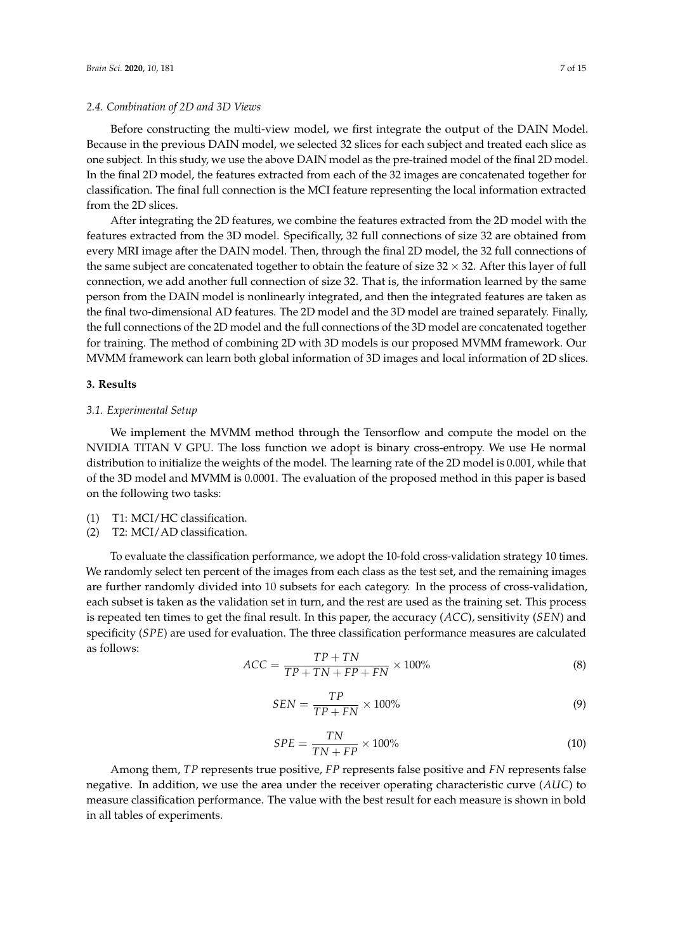#### *2.4. Combination of 2D and 3D Views*

Before constructing the multi-view model, we first integrate the output of the DAIN Model. Because in the previous DAIN model, we selected 32 slices for each subject and treated each slice as one subject. In this study, we use the above DAIN model as the pre-trained model of the final 2D model. In the final 2D model, the features extracted from each of the 32 images are concatenated together for classification. The final full connection is the MCI feature representing the local information extracted from the 2D slices.

After integrating the 2D features, we combine the features extracted from the 2D model with the features extracted from the 3D model. Specifically, 32 full connections of size 32 are obtained from every MRI image after the DAIN model. Then, through the final 2D model, the 32 full connections of the same subject are concatenated together to obtain the feature of size  $32 \times 32$ . After this layer of full connection, we add another full connection of size 32. That is, the information learned by the same person from the DAIN model is nonlinearly integrated, and then the integrated features are taken as the final two-dimensional AD features. The 2D model and the 3D model are trained separately. Finally, the full connections of the 2D model and the full connections of the 3D model are concatenated together for training. The method of combining 2D with 3D models is our proposed MVMM framework. Our MVMM framework can learn both global information of 3D images and local information of 2D slices.

#### **3. Results**

#### *3.1. Experimental Setup*

We implement the MVMM method through the Tensorflow and compute the model on the NVIDIA TITAN V GPU. The loss function we adopt is binary cross-entropy. We use He normal distribution to initialize the weights of the model. The learning rate of the 2D model is 0.001, while that of the 3D model and MVMM is 0.0001. The evaluation of the proposed method in this paper is based on the following two tasks:

- (1) T1: MCI/HC classification.
- (2) T2: MCI/AD classification.

To evaluate the classification performance, we adopt the 10-fold cross-validation strategy 10 times. We randomly select ten percent of the images from each class as the test set, and the remaining images are further randomly divided into 10 subsets for each category. In the process of cross-validation, each subset is taken as the validation set in turn, and the rest are used as the training set. This process is repeated ten times to get the final result. In this paper, the accuracy (*ACC*), sensitivity (*SEN*) and specificity (*SPE*) are used for evaluation. The three classification performance measures are calculated as follows:

$$
ACC = \frac{TP + TN}{TP + TN + FP + FN} \times 100\% \tag{8}
$$

$$
SEN = \frac{TP}{TP + FN} \times 100\% \tag{9}
$$

$$
SPE = \frac{TN}{TN + FP} \times 100\% \tag{10}
$$

Among them, *TP* represents true positive, *FP* represents false positive and *FN* represents false negative. In addition, we use the area under the receiver operating characteristic curve (*AUC*) to measure classification performance. The value with the best result for each measure is shown in bold in all tables of experiments.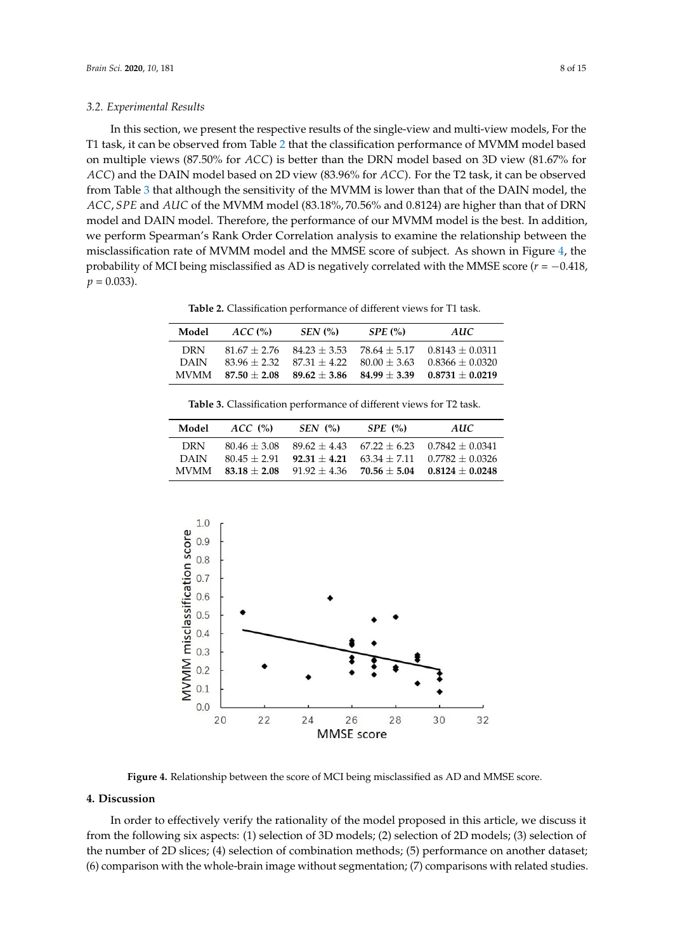#### *3.2. Experimental Results*

In this section, we present the respective results of the single-view and multi-view models, For the T1 task, it can be observed from Table [2](#page-7-0) that the classification performance of MVMM model based on multiple views (87.50% for *ACC*) is better than the DRN model based on 3D view (81.67% for *ACC*) and the DAIN model based on 2D view (83.96% for *ACC*). For the T2 task, it can be observed from Table [3](#page-7-1) that although the sensitivity of the MVMM is lower than that of the DAIN model, the *ACC*, *SPE* and *AUC* of the MVMM model (83.18%, 70.56% and 0.8124) are higher than that of DRN model and DAIN model. Therefore, the performance of our MVMM model is the best. In addition, we perform Spearman's Rank Order Correlation analysis to examine the relationship between the misclassification rate of MVMM model and the MMSE score of subject. As shown in Figure [4,](#page-7-2) the probability of MCI being misclassified as AD is negatively correlated with the MMSE score  $(r = -0.418,$  $p = 0.033$ .

**Table 2.** Classification performance of different views for T1 task.

<span id="page-7-0"></span>

| Model       | ACC <sub>o</sub> | $SEN$ $\left(\% \right)$                     | SPE(%)         | AUC               |
|-------------|------------------|----------------------------------------------|----------------|-------------------|
| DRN.        |                  | $81.67 + 2.76$ $84.23 + 3.53$ $78.64 + 5.17$ |                | $0.8143 + 0.0311$ |
| DAIN        | $83.96 + 2.32$   | $87.31 + 4.22$ $80.00 + 3.63$                |                | $0.8366 + 0.0320$ |
| <b>MVMM</b> | $87.50 + 2.08$   | $89.62 + 3.86$                               | $84.99 + 3.39$ | $0.8731 + 0.0219$ |

**Table 3.** Classification performance of different views for T2 task.

<span id="page-7-1"></span>

| Model       | ACC(%)         | $SEN$ $\left( % \right)$ | SPE(%)         | AUC                              |
|-------------|----------------|--------------------------|----------------|----------------------------------|
| DRN         | $80.46 + 3.08$ | $89.62 + 4.43$           | $67.22 + 6.23$ | $0.7842 + 0.0341$                |
| DAIN        | $80.45 + 2.91$ | $92.31 + 4.21$           |                | $63.34 + 7.11$ $0.7782 + 0.0326$ |
| <b>MVMM</b> | $83.18 + 2.08$ | $91.92 + 4.36$           | $70.56 + 5.04$ | $0.8124 + 0.0248$                |

<span id="page-7-2"></span>

**Figure 4.** Relationship between the score of MCI being misclassified as AD and MMSE score.

#### **4. Discussion**

In order to effectively verify the rationality of the model proposed in this article, we discuss it from the following six aspects: (1) selection of 3D models; (2) selection of 2D models; (3) selection of the number of 2D slices; (4) selection of combination methods; (5) performance on another dataset; (6) comparison with the whole-brain image without segmentation; (7) comparisons with related studies.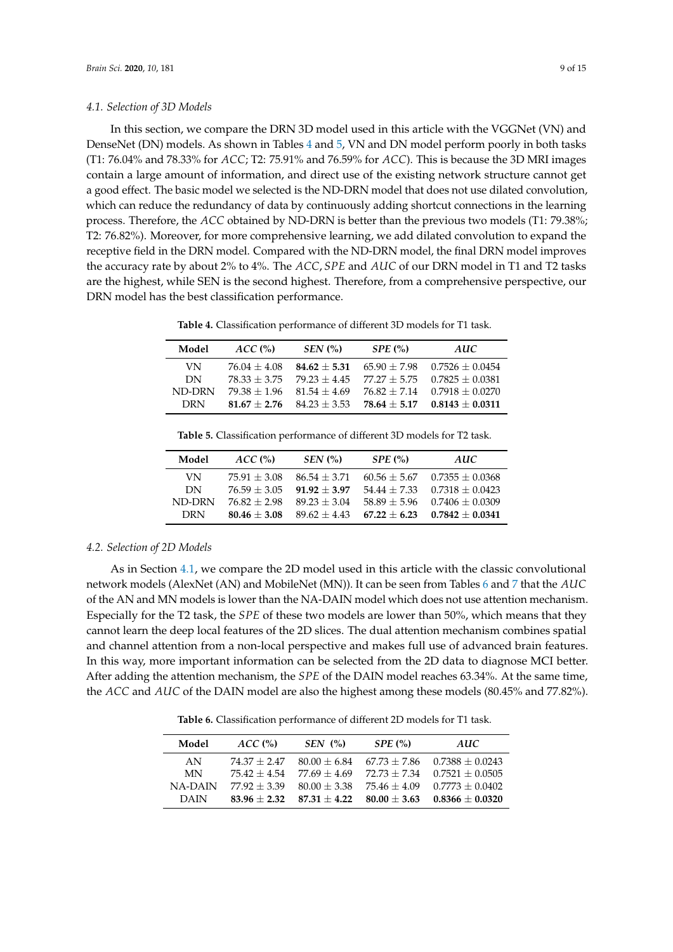<span id="page-8-2"></span>In this section, we compare the DRN 3D model used in this article with the VGGNet (VN) and DenseNet (DN) models. As shown in Tables [4](#page-8-0) and [5,](#page-8-1) VN and DN model perform poorly in both tasks (T1: 76.04% and 78.33% for *ACC*; T2: 75.91% and 76.59% for *ACC*). This is because the 3D MRI images contain a large amount of information, and direct use of the existing network structure cannot get a good effect. The basic model we selected is the ND-DRN model that does not use dilated convolution, which can reduce the redundancy of data by continuously adding shortcut connections in the learning process. Therefore, the *ACC* obtained by ND-DRN is better than the previous two models (T1: 79.38%; T2: 76.82%). Moreover, for more comprehensive learning, we add dilated convolution to expand the receptive field in the DRN model. Compared with the ND-DRN model, the final DRN model improves the accuracy rate by about 2% to 4%. The *ACC*, *SPE* and *AUC* of our DRN model in T1 and T2 tasks are the highest, while SEN is the second highest. Therefore, from a comprehensive perspective, our DRN model has the best classification performance.

**Table 4.** Classification performance of different 3D models for T1 task.

<span id="page-8-0"></span>

| Model      | ACC <sub>0</sub> | $SEN$ $\left(\% \right)$ | SPE(%)         | AUC                              |
|------------|------------------|--------------------------|----------------|----------------------------------|
| VN         | $76.04 + 4.08$   | $84.62 + 5.31$           |                | $65.90 + 7.98$ $0.7526 + 0.0454$ |
| DN         | $78.33 + 3.75$   | $79.23 + 4.45$           |                | $77.27 + 5.75$ 0.7825 + 0.0381   |
| ND-DRN     | $79.38 + 1.96$   | $81.54 + 4.69$           | $76.82 + 7.14$ | $0.7918 + 0.0270$                |
| <b>DRN</b> | $81.67 + 2.76$   | $84.23 + 3.53$           |                | $78.64 + 5.17$ 0.8143 + 0.0311   |

**Table 5.** Classification performance of different 3D models for T2 task.

<span id="page-8-1"></span>

| Model     | ACC <sub>0</sub> | $SEN$ $\left(\frac{9}{6}\right)$ | SPE(%)         | <b>AUC</b>        |
|-----------|------------------|----------------------------------|----------------|-------------------|
| VN        | $75.91 + 3.08$   | $86.54 + 3.71$                   | $60.56 + 5.67$ | $0.7355 + 0.0368$ |
| <b>DN</b> | $76.59 + 3.05$   | $91.92 + 3.97$                   | $54.44 + 7.33$ | $0.7318 + 0.0423$ |
| ND-DRN    | $76.82 + 2.98$   | $89.23 + 3.04$                   | $58.89 + 5.96$ | $0.7406 + 0.0309$ |
| DRN       | $80.46 + 3.08$   | $89.62 + 4.43$                   | $67.22 + 6.23$ | $0.7842 + 0.0341$ |

#### *4.2. Selection of 2D Models*

As in Section [4.1,](#page-8-2) we compare the 2D model used in this article with the classic convolutional network models (AlexNet (AN) and MobileNet (MN)). It can be seen from Tables [6](#page-8-3) and [7](#page-9-0) that the *AUC* of the AN and MN models is lower than the NA-DAIN model which does not use attention mechanism. Especially for the T2 task, the *SPE* of these two models are lower than 50%, which means that they cannot learn the deep local features of the 2D slices. The dual attention mechanism combines spatial and channel attention from a non-local perspective and makes full use of advanced brain features. In this way, more important information can be selected from the 2D data to diagnose MCI better. After adding the attention mechanism, the *SPE* of the DAIN model reaches 63.34%. At the same time, the *ACC* and *AUC* of the DAIN model are also the highest among these models (80.45% and 77.82%).

**Table 6.** Classification performance of different 2D models for T1 task.

<span id="page-8-3"></span>

| Model          | ACC <sub>0</sub> | $SEN$ $\left(\frac{9}{6}\right)$ | SPE(%)         | AUC                              |
|----------------|------------------|----------------------------------|----------------|----------------------------------|
| AN             | $74.37 + 2.47$   | $80.00 + 6.84$                   |                | $67.73 + 7.86$ 0.7388 + 0.0243   |
| <b>MN</b>      | $75.42 + 4.54$   | $77.69 + 4.69$                   |                | $72.73 + 7.34$ 0.7521 + 0.0505   |
| <b>NA-DAIN</b> | $77.92 + 3.39$   | $80.00 + 3.38$                   |                | $75.46 + 4.09$ $0.7773 + 0.0402$ |
| DAIN           | $83.96 + 2.32$   | $87.31 + 4.22$                   | $80.00 + 3.63$ | $0.8366 + 0.0320$                |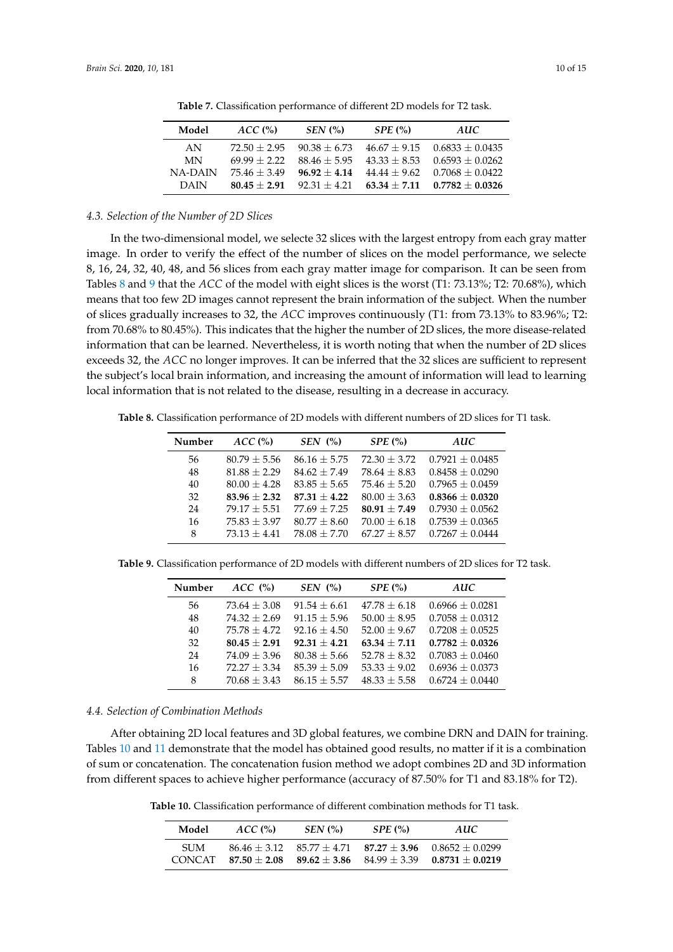<span id="page-9-0"></span>

| Model          | ACC <sub>0</sub> | $SEN$ $\left(\frac{9}{6}\right)$ | SPE(%)         | AUC                              |
|----------------|------------------|----------------------------------|----------------|----------------------------------|
| AN             | $72.50 + 2.95$   | $90.38 + 6.73$                   |                | $46.67 + 9.15$ $0.6833 + 0.0435$ |
| MN             | $69.99 + 2.22$   | $88.46 + 5.95$                   | $43.33 + 8.53$ | $0.6593 + 0.0262$                |
| <b>NA-DAIN</b> | $75.46 + 3.49$   | $96.92 + 4.14$                   |                | $44.44 + 9.62$ $0.7068 + 0.0422$ |
| DAIN           | $80.45 + 2.91$   | $92.31 + 4.21$                   | $63.34 + 7.11$ | $0.7782 + 0.0326$                |

**Table 7.** Classification performance of different 2D models for T2 task.

## *4.3. Selection of the Number of 2D Slices*

In the two-dimensional model, we selecte 32 slices with the largest entropy from each gray matter image. In order to verify the effect of the number of slices on the model performance, we selecte 8, 16, 24, 32, 40, 48, and 56 slices from each gray matter image for comparison. It can be seen from Tables [8](#page-9-1) and [9](#page-9-2) that the *ACC* of the model with eight slices is the worst (T1: 73.13%; T2: 70.68%), which means that too few 2D images cannot represent the brain information of the subject. When the number of slices gradually increases to 32, the *ACC* improves continuously (T1: from 73.13% to 83.96%; T2: from 70.68% to 80.45%). This indicates that the higher the number of 2D slices, the more disease-related information that can be learned. Nevertheless, it is worth noting that when the number of 2D slices exceeds 32, the *ACC* no longer improves. It can be inferred that the 32 slices are sufficient to represent the subject's local brain information, and increasing the amount of information will lead to learning local information that is not related to the disease, resulting in a decrease in accuracy.

<span id="page-9-1"></span>**Table 8.** Classification performance of 2D models with different numbers of 2D slices for T1 task.

| Number | $ACC$ (%)      | $SEN$ (%)        | $SPE$ $\left(\% \right)$ | <b>AUC</b>          |
|--------|----------------|------------------|--------------------------|---------------------|
| 56     | $80.79 + 5.56$ | $86.16 + 5.75$   | $72.30 + 3.72$           | $0.7921 \pm 0.0485$ |
| 48     | $81.88 + 2.29$ | $84.62 + 7.49$   | $78.64 + 8.83$           | $0.8458 \pm 0.0290$ |
| 40     | $80.00 + 4.28$ | $83.85 \pm 5.65$ | $75.46 + 5.20$           | $0.7965 + 0.0459$   |
| 32     | $83.96 + 2.32$ | $87.31 + 4.22$   | $80.00 + 3.63$           | $0.8366 + 0.0320$   |
| 24     | $79.17 + 5.51$ | $77.69 + 7.25$   | $80.91 + 7.49$           | $0.7930 + 0.0562$   |
| 16     | $75.83 + 3.97$ | $80.77 + 8.60$   | $70.00 + 6.18$           | $0.7539 \pm 0.0365$ |
| 8      | $73.13 + 4.41$ | $78.08 + 7.70$   | $67.27 + 8.57$           | $0.7267 + 0.0444$   |

<span id="page-9-2"></span>**Table 9.** Classification performance of 2D models with different numbers of 2D slices for T2 task.

| Number | ACC (%)        | $SEN$ $\left(\frac{9}{6}\right)$ | SPE(%)         | AUC                 |
|--------|----------------|----------------------------------|----------------|---------------------|
| 56     | $73.64 + 3.08$ | $91.54 + 6.61$                   | $47.78 + 6.18$ | $0.6966 + 0.0281$   |
| 48     | $74.32 + 2.69$ | $91.15 + 5.96$                   | $50.00 + 8.95$ | $0.7058 \pm 0.0312$ |
| 40     | $75.78 + 4.72$ | $92.16 + 4.50$                   | $52.00 + 9.67$ | $0.7208 + 0.0525$   |
| 32     | $80.45 + 2.91$ | $92.31 + 4.21$                   | $63.34 + 7.11$ | $0.7782 + 0.0326$   |
| 24     | $74.09 + 3.96$ | $80.38 + 5.66$                   | $52.78 + 8.32$ | $0.7083 + 0.0460$   |
| 16     | $72.27 + 3.34$ | $85.39 + 5.09$                   | $53.33 + 9.02$ | $0.6936 + 0.0373$   |
| 8      | $70.68 + 3.43$ | $86.15 + 5.57$                   | $48.33 + 5.58$ | $0.6724 + 0.0440$   |

## *4.4. Selection of Combination Methods*

After obtaining 2D local features and 3D global features, we combine DRN and DAIN for training. Tables [10](#page-9-3) and [11](#page-10-0) demonstrate that the model has obtained good results, no matter if it is a combination of sum or concatenation. The concatenation fusion method we adopt combines 2D and 3D information from different spaces to achieve higher performance (accuracy of 87.50% for T1 and 83.18% for T2).

<span id="page-9-3"></span>**Table 10.** Classification performance of different combination methods for T1 task.

| Model                  | ACC <sub>o</sub>                 | $SEN$ $\left(\% \right)$ | SPE(%) | AUC.                                                                                               |
|------------------------|----------------------------------|--------------------------|--------|----------------------------------------------------------------------------------------------------|
| SI IM<br><b>CONCAT</b> | $86.46 + 3.12$<br>$87.50 + 2.08$ |                          |        | $85.77 + 4.71$ $87.27 + 3.96$ $0.8652 + 0.0299$<br>$89.62 + 3.86$ $84.99 + 3.39$ $0.8731 + 0.0219$ |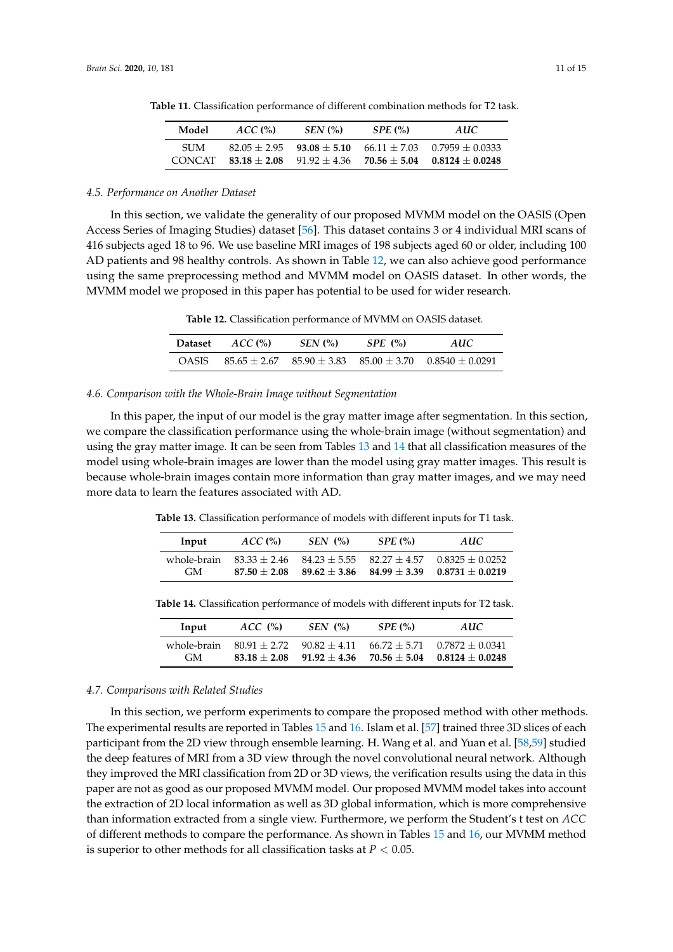| Model         | ACC <sub>o</sub> | $SEN$ $\left(\% \right)$ | SPE(%)         | AUC.                             |
|---------------|------------------|--------------------------|----------------|----------------------------------|
| SI IM         | $82.05 + 2.95$   | $93.08 + 5.10$           | $70.56 + 5.04$ | $66.11 + 7.03$ $0.7959 + 0.0333$ |
| <b>CONCAT</b> | $83.18 + 2.08$   | $91.92 + 4.36$           |                | $0.8124 + 0.0248$                |

<span id="page-10-0"></span>**Table 11.** Classification performance of different combination methods for T2 task.

#### *4.5. Performance on Another Dataset*

In this section, we validate the generality of our proposed MVMM model on the OASIS (Open Access Series of Imaging Studies) dataset [\[56\]](#page-14-7). This dataset contains 3 or 4 individual MRI scans of 416 subjects aged 18 to 96. We use baseline MRI images of 198 subjects aged 60 or older, including 100 AD patients and 98 healthy controls. As shown in Table [12,](#page-10-1) we can also achieve good performance using the same preprocessing method and MVMM model on OASIS dataset. In other words, the MVMM model we proposed in this paper has potential to be used for wider research.

**Table 12.** Classification performance of MVMM on OASIS dataset.

| Dataset | ACC <sub>0</sub> | $SEN$ (%) | SPE(%) | AUC                                                            |
|---------|------------------|-----------|--------|----------------------------------------------------------------|
| OASIS   |                  |           |        | $85.65 + 2.67$ $85.90 + 3.83$ $85.00 + 3.70$ $0.8540 + 0.0291$ |

#### <span id="page-10-1"></span>*4.6. Comparison with the Whole-Brain Image without Segmentation*

In this paper, the input of our model is the gray matter image after segmentation. In this section, we compare the classification performance using the whole-brain image (without segmentation) and using the gray matter image. It can be seen from Tables [13](#page-10-2) and [14](#page-10-3) that all classification measures of the model using whole-brain images are lower than the model using gray matter images. This result is because whole-brain images contain more information than gray matter images, and we may need more data to learn the features associated with AD.

<span id="page-10-2"></span>**Table 13.** Classification performance of models with different inputs for T1 task.

| Input       | $ACC0$ <sup><math>\%</math></sup> | SEN(%) | SPE(%) | AUC.                                                           |
|-------------|-----------------------------------|--------|--------|----------------------------------------------------------------|
| whole-brain |                                   |        |        | $83.33 + 2.46$ $84.23 + 5.55$ $82.27 + 4.57$ $0.8325 + 0.0252$ |
| GM.         |                                   |        |        | $87.50 + 2.08$ $89.62 + 3.86$ $84.99 + 3.39$ $0.8731 + 0.0219$ |

| Input              | ACC(%) | $SEN$ $\left(\frac{9}{6}\right)$ | SPE(%) | AUC.                                                                                                                             |
|--------------------|--------|----------------------------------|--------|----------------------------------------------------------------------------------------------------------------------------------|
| whole-brain<br>GM. |        |                                  |        | $80.91 + 2.72$ $90.82 + 4.11$ $66.72 + 5.71$ $0.7872 + 0.0341$<br>$83.18 + 2.08$ $91.92 + 4.36$ $70.56 + 5.04$ $0.8124 + 0.0248$ |

<span id="page-10-3"></span>**Table 14.** Classification performance of models with different inputs for T2 task.

#### *4.7. Comparisons with Related Studies*

In this section, we perform experiments to compare the proposed method with other methods. The experimental results are reported in Tables [15](#page-11-5) and [16.](#page-11-6) Islam et al. [\[57\]](#page-14-8) trained three 3D slices of each participant from the 2D view through ensemble learning. H. Wang et al. and Yuan et al. [\[58,](#page-14-9)[59\]](#page-14-10) studied the deep features of MRI from a 3D view through the novel convolutional neural network. Although they improved the MRI classification from 2D or 3D views, the verification results using the data in this paper are not as good as our proposed MVMM model. Our proposed MVMM model takes into account the extraction of 2D local information as well as 3D global information, which is more comprehensive than information extracted from a single view. Furthermore, we perform the Student's t test on *ACC* of different methods to compare the performance. As shown in Tables [15](#page-11-5) and [16,](#page-11-6) our MVMM method is superior to other methods for all classification tasks at *P* < 0.05.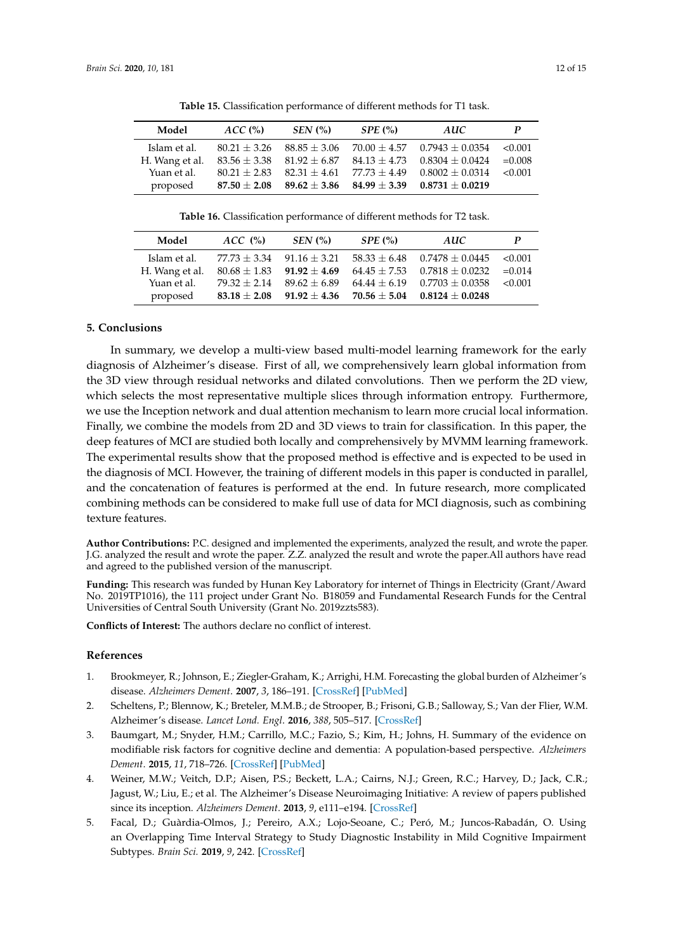<span id="page-11-5"></span>

| Model          | ACC <sub>o</sub> | $SEN$ (%)                         | SPE(%)           | AUC               | P        |
|----------------|------------------|-----------------------------------|------------------|-------------------|----------|
| Islam et al.   | $80.21 + 3.26$   | $88.85 + 3.06$                    | $70.00 + 4.57$   | $0.7943 + 0.0354$ | < 0.001  |
| H. Wang et al. |                  | $83.56 \pm 3.38$ $81.92 \pm 6.87$ | $84.13 \pm 4.73$ | $0.8304 + 0.0424$ | $=0.008$ |
| Yuan et al.    | $80.21 + 2.83$   | $82.31 + 4.61$                    | $77.73 + 4.49$   | $0.8002 + 0.0314$ | < 0.001  |
| proposed       | $87.50 + 2.08$   | $89.62 \pm 3.86$ $84.99 \pm 3.39$ |                  | $0.8731 + 0.0219$ |          |

**Table 15.** Classification performance of different methods for T1 task.

**Table 16.** Classification performance of different methods for T2 task.

<span id="page-11-6"></span>

| Model          | ACC(%)                        | $SEN$ $\left(\frac{\%}{\%}\right)$                 | SPE(%) | AUC                              | P         |
|----------------|-------------------------------|----------------------------------------------------|--------|----------------------------------|-----------|
| Islam et al.   | $77.73 + 3.34$ $91.16 + 3.21$ |                                                    |        | $58.33 + 6.48$ $0.7478 + 0.0445$ | < 0.001   |
| H. Wang et al. |                               | $80.68 \pm 1.83$ $91.92 \pm 4.69$                  |        | $64.45 + 7.53$ $0.7818 + 0.0232$ | $= 0.014$ |
| Yuan et al.    | $79.32 + 2.14$                | $89.62 + 6.89$                                     |        | $64.44 + 6.19$ $0.7703 + 0.0358$ | < 0.001   |
| proposed       |                               | $83.18 \pm 2.08$ $91.92 \pm 4.36$ $70.56 \pm 5.04$ |        | $0.8124 + 0.0248$                |           |

## **5. Conclusions**

In summary, we develop a multi-view based multi-model learning framework for the early diagnosis of Alzheimer's disease. First of all, we comprehensively learn global information from the 3D view through residual networks and dilated convolutions. Then we perform the 2D view, which selects the most representative multiple slices through information entropy. Furthermore, we use the Inception network and dual attention mechanism to learn more crucial local information. Finally, we combine the models from 2D and 3D views to train for classification. In this paper, the deep features of MCI are studied both locally and comprehensively by MVMM learning framework. The experimental results show that the proposed method is effective and is expected to be used in the diagnosis of MCI. However, the training of different models in this paper is conducted in parallel, and the concatenation of features is performed at the end. In future research, more complicated combining methods can be considered to make full use of data for MCI diagnosis, such as combining texture features.

**Author Contributions:** P.C. designed and implemented the experiments, analyzed the result, and wrote the paper. J.G. analyzed the result and wrote the paper. Z.Z. analyzed the result and wrote the paper.All authors have read and agreed to the published version of the manuscript.

**Funding:** This research was funded by Hunan Key Laboratory for internet of Things in Electricity (Grant/Award No. 2019TP1016), the 111 project under Grant No. B18059 and Fundamental Research Funds for the Central Universities of Central South University (Grant No. 2019zzts583).

**Conflicts of Interest:** The authors declare no conflict of interest.

#### **References**

- <span id="page-11-0"></span>1. Brookmeyer, R.; Johnson, E.; Ziegler-Graham, K.; Arrighi, H.M. Forecasting the global burden of Alzheimer's disease. *Alzheimers Dement*. **2007**, *3*, 186–191. [\[CrossRef\]](http://dx.doi.org/10.1016/j.jalz.2007.04.381) [\[PubMed\]](http://www.ncbi.nlm.nih.gov/pubmed/19595937)
- <span id="page-11-1"></span>2. Scheltens, P.; Blennow, K.; Breteler, M.M.B.; de Strooper, B.; Frisoni, G.B.; Salloway, S.; Van der Flier, W.M. Alzheimer's disease. *Lancet Lond. Engl*. **2016**, *388*, 505–517. [\[CrossRef\]](http://dx.doi.org/10.1016/S0140-6736(15)01124-1)
- <span id="page-11-2"></span>3. Baumgart, M.; Snyder, H.M.; Carrillo, M.C.; Fazio, S.; Kim, H.; Johns, H. Summary of the evidence on modifiable risk factors for cognitive decline and dementia: A population-based perspective. *Alzheimers Dement*. **2015**, *11*, 718–726. [\[CrossRef\]](http://dx.doi.org/10.1016/j.jalz.2015.05.016) [\[PubMed\]](http://www.ncbi.nlm.nih.gov/pubmed/26045020)
- <span id="page-11-3"></span>4. Weiner, M.W.; Veitch, D.P.; Aisen, P.S.; Beckett, L.A.; Cairns, N.J.; Green, R.C.; Harvey, D.; Jack, C.R.; Jagust, W.; Liu, E.; et al. The Alzheimer's Disease Neuroimaging Initiative: A review of papers published since its inception. *Alzheimers Dement*. **2013**, *9*, e111–e194. [\[CrossRef\]](http://dx.doi.org/10.1016/j.jalz.2013.05.1769)
- <span id="page-11-4"></span>5. Facal, D.; Guàrdia-Olmos, J.; Pereiro, A.X.; Lojo-Seoane, C.; Peró, M.; Juncos-Rabadán, O. Using an Overlapping Time Interval Strategy to Study Diagnostic Instability in Mild Cognitive Impairment Subtypes. *Brain Sci.* **2019**, *9*, 242. [\[CrossRef\]](http://dx.doi.org/10.3390/brainsci9090242)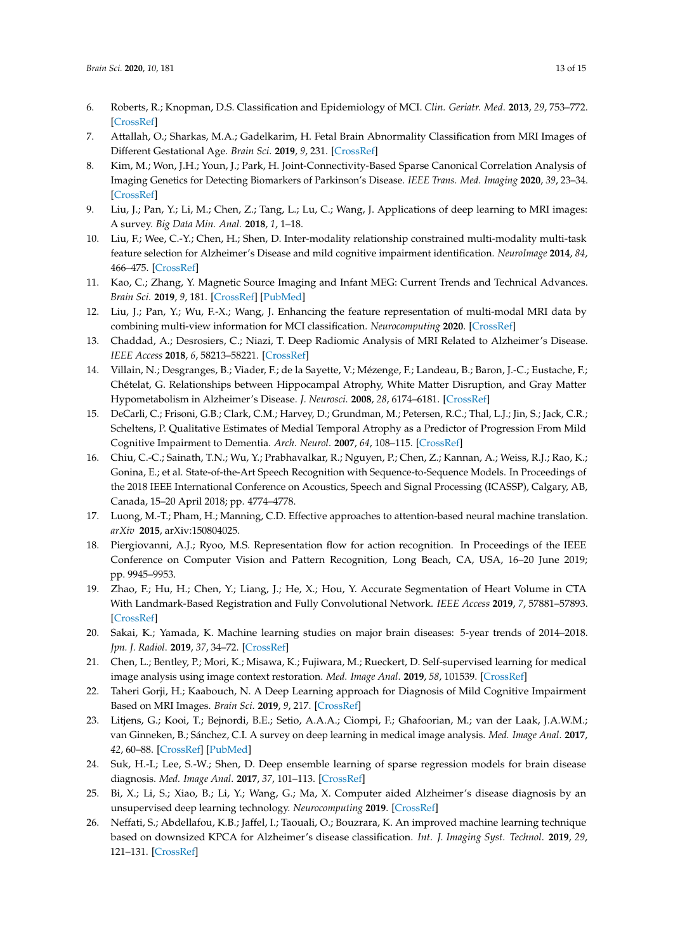- <span id="page-12-0"></span>6. Roberts, R.; Knopman, D.S. Classification and Epidemiology of MCI. *Clin. Geriatr. Med*. **2013**, *29*, 753–772. [\[CrossRef\]](http://dx.doi.org/10.1016/j.cger.2013.07.003)
- <span id="page-12-1"></span>7. Attallah, O.; Sharkas, M.A.; Gadelkarim, H. Fetal Brain Abnormality Classification from MRI Images of Different Gestational Age. *Brain Sci*. **2019**, *9*, 231. [\[CrossRef\]](http://dx.doi.org/10.3390/brainsci9090231)
- 8. Kim, M.; Won, J.H.; Youn, J.; Park, H. Joint-Connectivity-Based Sparse Canonical Correlation Analysis of Imaging Genetics for Detecting Biomarkers of Parkinson's Disease. *IEEE Trans. Med. Imaging* **2020**, *39*, 23–34. [\[CrossRef\]](http://dx.doi.org/10.1109/TMI.2019.2918839)
- <span id="page-12-2"></span>9. Liu, J.; Pan, Y.; Li, M.; Chen, Z.; Tang, L.; Lu, C.; Wang, J. Applications of deep learning to MRI images: A survey. *Big Data Min. Anal.* **2018**, *1*, 1–18.
- <span id="page-12-3"></span>10. Liu, F.; Wee, C.-Y.; Chen, H.; Shen, D. Inter-modality relationship constrained multi-modality multi-task feature selection for Alzheimer's Disease and mild cognitive impairment identification. *NeuroImage* **2014**, *84*, 466–475. [\[CrossRef\]](http://dx.doi.org/10.1016/j.neuroimage.2013.09.015)
- 11. Kao, C.; Zhang, Y. Magnetic Source Imaging and Infant MEG: Current Trends and Technical Advances. *Brain Sci.* **2019**, *9*, 181. [\[CrossRef\]](http://dx.doi.org/10.3390/brainsci9080181) [\[PubMed\]](http://www.ncbi.nlm.nih.gov/pubmed/31357668)
- <span id="page-12-4"></span>12. Liu, J.; Pan, Y.; Wu, F.-X.; Wang, J. Enhancing the feature representation of multi-modal MRI data by combining multi-view information for MCI classification. *Neurocomputing* **2020**. [\[CrossRef\]](http://dx.doi.org/10.1016/j.neucom.2020.03.006)
- <span id="page-12-5"></span>13. Chaddad, A.; Desrosiers, C.; Niazi, T. Deep Radiomic Analysis of MRI Related to Alzheimer's Disease. *IEEE Access* **2018**, *6*, 58213–58221. [\[CrossRef\]](http://dx.doi.org/10.1109/ACCESS.2018.2871977)
- <span id="page-12-6"></span>14. Villain, N.; Desgranges, B.; Viader, F.; de la Sayette, V.; Mézenge, F.; Landeau, B.; Baron, J.-C.; Eustache, F.; Chételat, G. Relationships between Hippocampal Atrophy, White Matter Disruption, and Gray Matter Hypometabolism in Alzheimer's Disease. *J. Neurosci*. **2008**, *28*, 6174–6181. [\[CrossRef\]](http://dx.doi.org/10.1523/JNEUROSCI.1392-08.2008)
- <span id="page-12-7"></span>15. DeCarli, C.; Frisoni, G.B.; Clark, C.M.; Harvey, D.; Grundman, M.; Petersen, R.C.; Thal, L.J.; Jin, S.; Jack, C.R.; Scheltens, P. Qualitative Estimates of Medial Temporal Atrophy as a Predictor of Progression From Mild Cognitive Impairment to Dementia. *Arch. Neurol*. **2007**, *64*, 108–115. [\[CrossRef\]](http://dx.doi.org/10.1001/archneur.64.1.108)
- <span id="page-12-8"></span>16. Chiu, C.-C.; Sainath, T.N.; Wu, Y.; Prabhavalkar, R.; Nguyen, P.; Chen, Z.; Kannan, A.; Weiss, R.J.; Rao, K.; Gonina, E.; et al. State-of-the-Art Speech Recognition with Sequence-to-Sequence Models. In Proceedings of the 2018 IEEE International Conference on Acoustics, Speech and Signal Processing (ICASSP), Calgary, AB, Canada, 15–20 April 2018; pp. 4774–4778.
- 17. Luong, M.-T.; Pham, H.; Manning, C.D. Effective approaches to attention-based neural machine translation. *arXiv* **2015**, arXiv:150804025.
- 18. Piergiovanni, A.J.; Ryoo, M.S. Representation flow for action recognition. In Proceedings of the IEEE Conference on Computer Vision and Pattern Recognition, Long Beach, CA, USA, 16–20 June 2019; pp. 9945–9953.
- <span id="page-12-9"></span>19. Zhao, F.; Hu, H.; Chen, Y.; Liang, J.; He, X.; Hou, Y. Accurate Segmentation of Heart Volume in CTA With Landmark-Based Registration and Fully Convolutional Network. *IEEE Access* **2019**, *7*, 57881–57893. [\[CrossRef\]](http://dx.doi.org/10.1109/ACCESS.2019.2912467)
- <span id="page-12-10"></span>20. Sakai, K.; Yamada, K. Machine learning studies on major brain diseases: 5-year trends of 2014–2018. *Jpn. J. Radiol*. **2019**, *37*, 34–72. [\[CrossRef\]](http://dx.doi.org/10.1007/s11604-018-0794-4)
- 21. Chen, L.; Bentley, P.; Mori, K.; Misawa, K.; Fujiwara, M.; Rueckert, D. Self-supervised learning for medical image analysis using image context restoration. *Med. Image Anal*. **2019**, *58*, 101539. [\[CrossRef\]](http://dx.doi.org/10.1016/j.media.2019.101539)
- 22. Taheri Gorji, H.; Kaabouch, N. A Deep Learning approach for Diagnosis of Mild Cognitive Impairment Based on MRI Images. *Brain Sci*. **2019**, *9*, 217. [\[CrossRef\]](http://dx.doi.org/10.3390/brainsci9090217)
- <span id="page-12-11"></span>23. Litjens, G.; Kooi, T.; Bejnordi, B.E.; Setio, A.A.A.; Ciompi, F.; Ghafoorian, M.; van der Laak, J.A.W.M.; van Ginneken, B.; Sánchez, C.I. A survey on deep learning in medical image analysis. *Med. Image Anal*. **2017**, *42*, 60–88. [\[CrossRef\]](http://dx.doi.org/10.1016/j.media.2017.07.005) [\[PubMed\]](http://www.ncbi.nlm.nih.gov/pubmed/28778026)
- <span id="page-12-12"></span>24. Suk, H.-I.; Lee, S.-W.; Shen, D. Deep ensemble learning of sparse regression models for brain disease diagnosis. *Med. Image Anal*. **2017**, *37*, 101–113. [\[CrossRef\]](http://dx.doi.org/10.1016/j.media.2017.01.008)
- <span id="page-12-13"></span>25. Bi, X.; Li, S.; Xiao, B.; Li, Y.; Wang, G.; Ma, X. Computer aided Alzheimer's disease diagnosis by an unsupervised deep learning technology. *Neurocomputing* **2019**. [\[CrossRef\]](http://dx.doi.org/10.1016/j.neucom.2018.11.111)
- <span id="page-12-14"></span>26. Neffati, S.; Abdellafou, K.B.; Jaffel, I.; Taouali, O.; Bouzrara, K. An improved machine learning technique based on downsized KPCA for Alzheimer's disease classification. *Int. J. Imaging Syst. Technol*. **2019**, *29*, 121–131. [\[CrossRef\]](http://dx.doi.org/10.1002/ima.22304)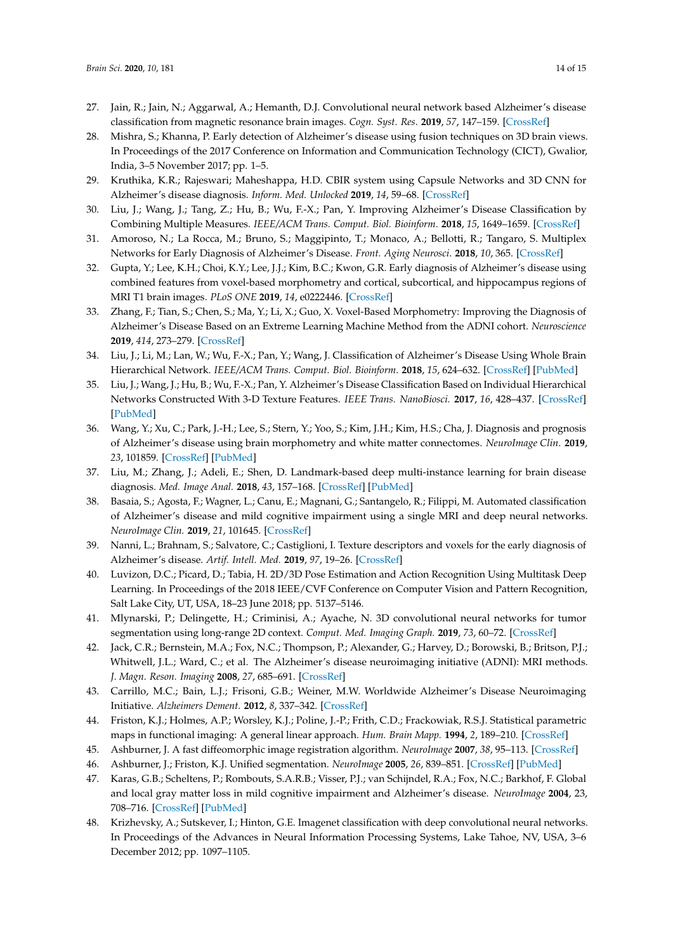- <span id="page-13-0"></span>27. Jain, R.; Jain, N.; Aggarwal, A.; Hemanth, D.J. Convolutional neural network based Alzheimer's disease classification from magnetic resonance brain images. *Cogn. Syst. Res*. **2019**, *57*, 147–159. [\[CrossRef\]](http://dx.doi.org/10.1016/j.cogsys.2018.12.015)
- <span id="page-13-1"></span>28. Mishra, S.; Khanna, P. Early detection of Alzheimer's disease using fusion techniques on 3D brain views. In Proceedings of the 2017 Conference on Information and Communication Technology (CICT), Gwalior, India, 3–5 November 2017; pp. 1–5.
- <span id="page-13-2"></span>29. Kruthika, K.R.; Rajeswari; Maheshappa, H.D. CBIR system using Capsule Networks and 3D CNN for Alzheimer's disease diagnosis. *Inform. Med. Unlocked* **2019**, *14*, 59–68. [\[CrossRef\]](http://dx.doi.org/10.1016/j.imu.2018.12.001)
- 30. Liu, J.; Wang, J.; Tang, Z.; Hu, B.; Wu, F.-X.; Pan, Y. Improving Alzheimer's Disease Classification by Combining Multiple Measures. *IEEE/ACM Trans. Comput. Biol. Bioinform*. **2018**, *15*, 1649–1659. [\[CrossRef\]](http://dx.doi.org/10.1109/TCBB.2017.2731849)
- 31. Amoroso, N.; La Rocca, M.; Bruno, S.; Maggipinto, T.; Monaco, A.; Bellotti, R.; Tangaro, S. Multiplex Networks for Early Diagnosis of Alzheimer's Disease. *Front. Aging Neurosci*. **2018**, *10*, 365. [\[CrossRef\]](http://dx.doi.org/10.3389/fnagi.2018.00365)
- <span id="page-13-3"></span>32. Gupta, Y.; Lee, K.H.; Choi, K.Y.; Lee, J.J.; Kim, B.C.; Kwon, G.R. Early diagnosis of Alzheimer's disease using combined features from voxel-based morphometry and cortical, subcortical, and hippocampus regions of MRI T1 brain images. *PLoS ONE* **2019**, *14*, e0222446. [\[CrossRef\]](http://dx.doi.org/10.1371/journal.pone.0222446)
- <span id="page-13-4"></span>33. Zhang, F.; Tian, S.; Chen, S.; Ma, Y.; Li, X.; Guo, X. Voxel-Based Morphometry: Improving the Diagnosis of Alzheimer's Disease Based on an Extreme Learning Machine Method from the ADNI cohort. *Neuroscience* **2019**, *414*, 273–279. [\[CrossRef\]](http://dx.doi.org/10.1016/j.neuroscience.2019.05.014)
- <span id="page-13-5"></span>34. Liu, J.; Li, M.; Lan, W.; Wu, F.-X.; Pan, Y.; Wang, J. Classification of Alzheimer's Disease Using Whole Brain Hierarchical Network. *IEEE/ACM Trans. Comput. Biol. Bioinform*. **2018**, *15*, 624–632. [\[CrossRef\]](http://dx.doi.org/10.1109/TCBB.2016.2635144) [\[PubMed\]](http://www.ncbi.nlm.nih.gov/pubmed/28114031)
- <span id="page-13-6"></span>35. Liu, J.; Wang, J.; Hu, B.; Wu, F.-X.; Pan, Y. Alzheimer's Disease Classification Based on Individual Hierarchical Networks Constructed With 3-D Texture Features. *IEEE Trans. NanoBiosci.* **2017**, *16*, 428–437. [\[CrossRef\]](http://dx.doi.org/10.1109/TNB.2017.2707139) [\[PubMed\]](http://www.ncbi.nlm.nih.gov/pubmed/28541903)
- <span id="page-13-7"></span>36. Wang, Y.; Xu, C.; Park, J.-H.; Lee, S.; Stern, Y.; Yoo, S.; Kim, J.H.; Kim, H.S.; Cha, J. Diagnosis and prognosis of Alzheimer's disease using brain morphometry and white matter connectomes. *NeuroImage Clin*. **2019**, *23*, 101859. [\[CrossRef\]](http://dx.doi.org/10.1016/j.nicl.2019.101859) [\[PubMed\]](http://www.ncbi.nlm.nih.gov/pubmed/31150957)
- <span id="page-13-8"></span>37. Liu, M.; Zhang, J.; Adeli, E.; Shen, D. Landmark-based deep multi-instance learning for brain disease diagnosis. *Med. Image Anal.* **2018**, *43*, 157–168. [\[CrossRef\]](http://dx.doi.org/10.1016/j.media.2017.10.005) [\[PubMed\]](http://www.ncbi.nlm.nih.gov/pubmed/29107865)
- <span id="page-13-9"></span>38. Basaia, S.; Agosta, F.; Wagner, L.; Canu, E.; Magnani, G.; Santangelo, R.; Filippi, M. Automated classification of Alzheimer's disease and mild cognitive impairment using a single MRI and deep neural networks. *NeuroImage Clin.* **2019**, *21*, 101645. [\[CrossRef\]](http://dx.doi.org/10.1016/j.nicl.2018.101645)
- <span id="page-13-10"></span>39. Nanni, L.; Brahnam, S.; Salvatore, C.; Castiglioni, I. Texture descriptors and voxels for the early diagnosis of Alzheimer's disease. *Artif. Intell. Med.* **2019**, *97*, 19–26. [\[CrossRef\]](http://dx.doi.org/10.1016/j.artmed.2019.05.003)
- <span id="page-13-11"></span>40. Luvizon, D.C.; Picard, D.; Tabia, H. 2D/3D Pose Estimation and Action Recognition Using Multitask Deep Learning. In Proceedings of the 2018 IEEE/CVF Conference on Computer Vision and Pattern Recognition, Salt Lake City, UT, USA, 18–23 June 2018; pp. 5137–5146.
- <span id="page-13-12"></span>41. Mlynarski, P.; Delingette, H.; Criminisi, A.; Ayache, N. 3D convolutional neural networks for tumor segmentation using long-range 2D context. *Comput. Med. Imaging Graph.* **2019**, *73*, 60–72. [\[CrossRef\]](http://dx.doi.org/10.1016/j.compmedimag.2019.02.001)
- <span id="page-13-13"></span>42. Jack, C.R.; Bernstein, M.A.; Fox, N.C.; Thompson, P.; Alexander, G.; Harvey, D.; Borowski, B.; Britson, P.J.; Whitwell, J.L.; Ward, C.; et al. The Alzheimer's disease neuroimaging initiative (ADNI): MRI methods. *J. Magn. Reson. Imaging* **2008**, *27*, 685–691. [\[CrossRef\]](http://dx.doi.org/10.1002/jmri.21049)
- <span id="page-13-14"></span>43. Carrillo, M.C.; Bain, L.J.; Frisoni, G.B.; Weiner, M.W. Worldwide Alzheimer's Disease Neuroimaging Initiative. *Alzheimers Dement.* **2012**, *8*, 337–342. [\[CrossRef\]](http://dx.doi.org/10.1016/j.jalz.2012.04.007)
- <span id="page-13-15"></span>44. Friston, K.J.; Holmes, A.P.; Worsley, K.J.; Poline, J.-P.; Frith, C.D.; Frackowiak, R.S.J. Statistical parametric maps in functional imaging: A general linear approach. *Hum. Brain Mapp.* **1994**, *2*, 189–210. [\[CrossRef\]](http://dx.doi.org/10.1002/hbm.460020402)
- <span id="page-13-16"></span>45. Ashburner, J. A fast diffeomorphic image registration algorithm. *NeuroImage* **2007**, *38*, 95–113. [\[CrossRef\]](http://dx.doi.org/10.1016/j.neuroimage.2007.07.007)
- <span id="page-13-17"></span>46. Ashburner, J.; Friston, K.J. Unified segmentation. *NeuroImage* **2005**, *26*, 839–851. [\[CrossRef\]](http://dx.doi.org/10.1016/j.neuroimage.2005.02.018) [\[PubMed\]](http://www.ncbi.nlm.nih.gov/pubmed/15955494)
- <span id="page-13-18"></span>47. Karas, G.B.; Scheltens, P.; Rombouts, S.A.R.B.; Visser, P.J.; van Schijndel, R.A.; Fox, N.C.; Barkhof, F. Global and local gray matter loss in mild cognitive impairment and Alzheimer's disease. *NeuroImage* **2004**, 23, 708–716. [\[CrossRef\]](http://dx.doi.org/10.1016/j.neuroimage.2004.07.006) [\[PubMed\]](http://www.ncbi.nlm.nih.gov/pubmed/15488420)
- <span id="page-13-19"></span>48. Krizhevsky, A.; Sutskever, I.; Hinton, G.E. Imagenet classification with deep convolutional neural networks. In Proceedings of the Advances in Neural Information Processing Systems, Lake Tahoe, NV, USA, 3–6 December 2012; pp. 1097–1105.